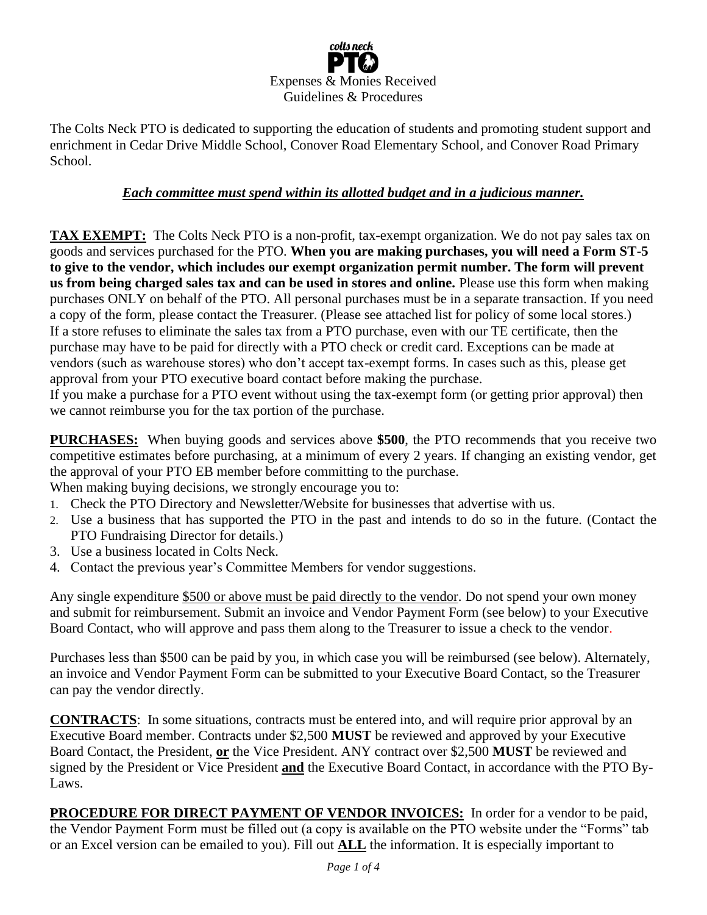

The Colts Neck PTO is dedicated to supporting the education of students and promoting student support and enrichment in Cedar Drive Middle School, Conover Road Elementary School, and Conover Road Primary School.

## *Each committee must spend within its allotted budget and in a judicious manner.*

**TAX EXEMPT:** The Colts Neck PTO is a non-profit, tax-exempt organization. We do not pay sales tax on goods and services purchased for the PTO. **When you are making purchases, you will need a Form ST-5 to give to the vendor, which includes our exempt organization permit number. The form will prevent us from being charged sales tax and can be used in stores and online.** Please use this form when making purchases ONLY on behalf of the PTO. All personal purchases must be in a separate transaction. If you need a copy of the form, please contact the Treasurer. (Please see attached list for policy of some local stores.) If a store refuses to eliminate the sales tax from a PTO purchase, even with our TE certificate, then the purchase may have to be paid for directly with a PTO check or credit card. Exceptions can be made at vendors (such as warehouse stores) who don't accept tax-exempt forms. In cases such as this, please get approval from your PTO executive board contact before making the purchase.

If you make a purchase for a PTO event without using the tax-exempt form (or getting prior approval) then we cannot reimburse you for the tax portion of the purchase.

**PURCHASES:** When buying goods and services above **\$500**, the PTO recommends that you receive two competitive estimates before purchasing, at a minimum of every 2 years. If changing an existing vendor, get the approval of your PTO EB member before committing to the purchase.

When making buying decisions, we strongly encourage you to:

- 1. Check the PTO Directory and Newsletter/Website for businesses that advertise with us.
- 2. Use a business that has supported the PTO in the past and intends to do so in the future. (Contact the PTO Fundraising Director for details.)
- 3. Use a business located in Colts Neck.
- 4. Contact the previous year's Committee Members for vendor suggestions.

Any single expenditure \$500 or above must be paid directly to the vendor. Do not spend your own money and submit for reimbursement. Submit an invoice and Vendor Payment Form (see below) to your Executive Board Contact, who will approve and pass them along to the Treasurer to issue a check to the vendor.

Purchases less than \$500 can be paid by you, in which case you will be reimbursed (see below). Alternately, an invoice and Vendor Payment Form can be submitted to your Executive Board Contact, so the Treasurer can pay the vendor directly.

**CONTRACTS**: In some situations, contracts must be entered into, and will require prior approval by an Executive Board member. Contracts under \$2,500 **MUST** be reviewed and approved by your Executive Board Contact, the President, **or** the Vice President. ANY contract over \$2,500 **MUST** be reviewed and signed by the President or Vice President **and** the Executive Board Contact, in accordance with the PTO By-Laws.

**PROCEDURE FOR DIRECT PAYMENT OF VENDOR INVOICES:** In order for a vendor to be paid, the Vendor Payment Form must be filled out (a copy is available on the PTO website under the "Forms" tab or an Excel version can be emailed to you). Fill out **ALL** the information. It is especially important to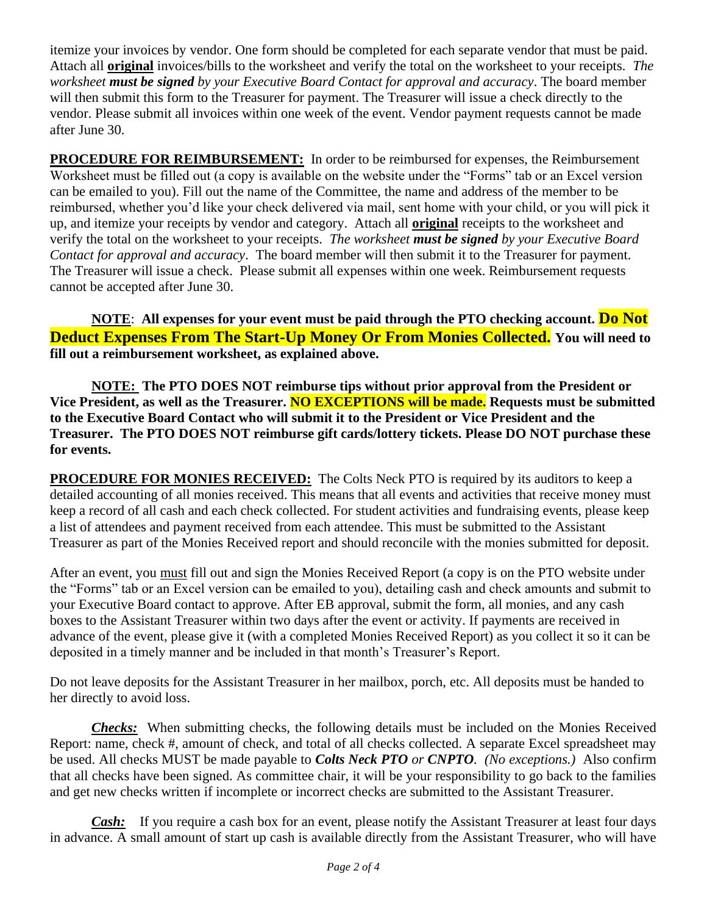itemize your invoices by vendor. One form should be completed for each separate vendor that must be paid. Attach all **original** invoices/bills to the worksheet and verify the total on the worksheet to your receipts. *The worksheet must be signed by your Executive Board Contact for approval and accuracy*. The board member will then submit this form to the Treasurer for payment. The Treasurer will issue a check directly to the vendor. Please submit all invoices within one week of the event. Vendor payment requests cannot be made after June 30.

**PROCEDURE FOR REIMBURSEMENT:** In order to be reimbursed for expenses, the Reimbursement Worksheet must be filled out (a copy is available on the website under the "Forms" tab or an Excel version can be emailed to you). Fill out the name of the Committee, the name and address of the member to be reimbursed, whether you'd like your check delivered via mail, sent home with your child, or you will pick it up, and itemize your receipts by vendor and category. Attach all **original** receipts to the worksheet and verify the total on the worksheet to your receipts. *The worksheet must be signed by your Executive Board Contact for approval and accuracy*. The board member will then submit it to the Treasurer for payment. The Treasurer will issue a check. Please submit all expenses within one week. Reimbursement requests cannot be accepted after June 30.

**NOTE**: **All expenses for your event must be paid through the PTO checking account. Do Not Deduct Expenses From The Start-Up Money Or From Monies Collected. You will need to fill out a reimbursement worksheet, as explained above.**

**NOTE: The PTO DOES NOT reimburse tips without prior approval from the President or Vice President, as well as the Treasurer. NO EXCEPTIONS will be made. Requests must be submitted to the Executive Board Contact who will submit it to the President or Vice President and the Treasurer. The PTO DOES NOT reimburse gift cards/lottery tickets. Please DO NOT purchase these for events.** 

**PROCEDURE FOR MONIES RECEIVED:** The Colts Neck PTO is required by its auditors to keep a detailed accounting of all monies received. This means that all events and activities that receive money must keep a record of all cash and each check collected. For student activities and fundraising events, please keep a list of attendees and payment received from each attendee. This must be submitted to the Assistant Treasurer as part of the Monies Received report and should reconcile with the monies submitted for deposit.

After an event, you must fill out and sign the Monies Received Report (a copy is on the PTO website under the "Forms" tab or an Excel version can be emailed to you), detailing cash and check amounts and submit to your Executive Board contact to approve. After EB approval, submit the form, all monies, and any cash boxes to the Assistant Treasurer within two days after the event or activity. If payments are received in advance of the event, please give it (with a completed Monies Received Report) as you collect it so it can be deposited in a timely manner and be included in that month's Treasurer's Report.

Do not leave deposits for the Assistant Treasurer in her mailbox, porch, etc. All deposits must be handed to her directly to avoid loss.

*Checks:* When submitting checks, the following details must be included on the Monies Received Report: name, check #, amount of check, and total of all checks collected. A separate Excel spreadsheet may be used. All checks MUST be made payable to *Colts Neck PTO or CNPTO. (No exceptions.)* Also confirm that all checks have been signed. As committee chair, it will be your responsibility to go back to the families and get new checks written if incomplete or incorrect checks are submitted to the Assistant Treasurer.

*Cash:* If you require a cash box for an event, please notify the Assistant Treasurer at least four days in advance. A small amount of start up cash is available directly from the Assistant Treasurer, who will have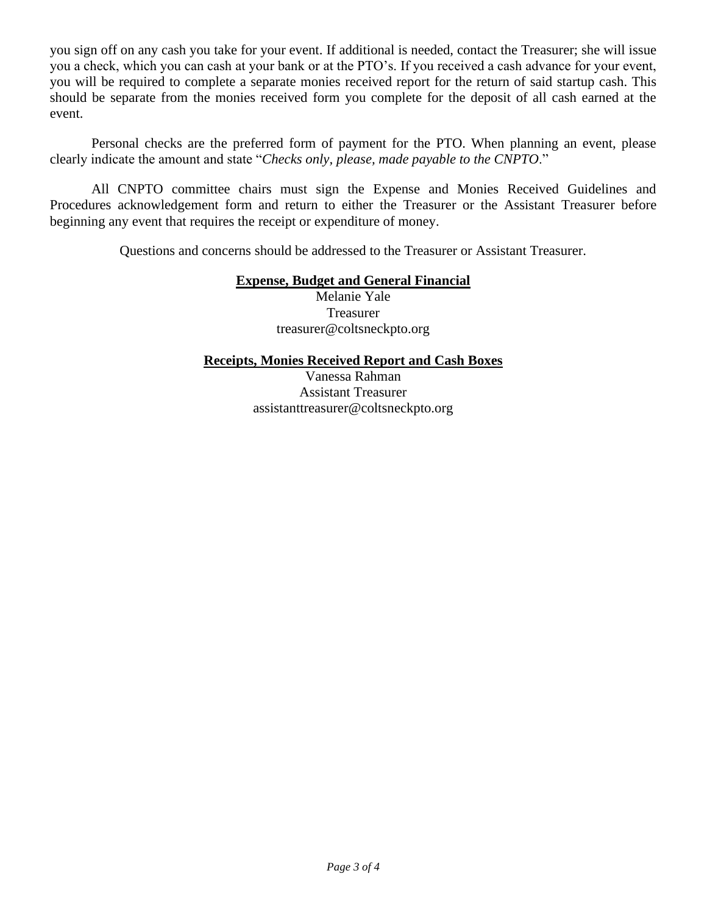you sign off on any cash you take for your event. If additional is needed, contact the Treasurer; she will issue you a check, which you can cash at your bank or at the PTO's. If you received a cash advance for your event, you will be required to complete a separate monies received report for the return of said startup cash. This should be separate from the monies received form you complete for the deposit of all cash earned at the event.

Personal checks are the preferred form of payment for the PTO. When planning an event, please clearly indicate the amount and state "*Checks only, please, made payable to the CNPTO*."

All CNPTO committee chairs must sign the Expense and Monies Received Guidelines and Procedures acknowledgement form and return to either the Treasurer or the Assistant Treasurer before beginning any event that requires the receipt or expenditure of money.

Questions and concerns should be addressed to the Treasurer or Assistant Treasurer.

## **Expense, Budget and General Financial**

Melanie Yale Treasurer treasurer@coltsneckpto.org

## **Receipts, Monies Received Report and Cash Boxes**

Vanessa Rahman Assistant Treasurer assistanttreasurer@coltsneckpto.org